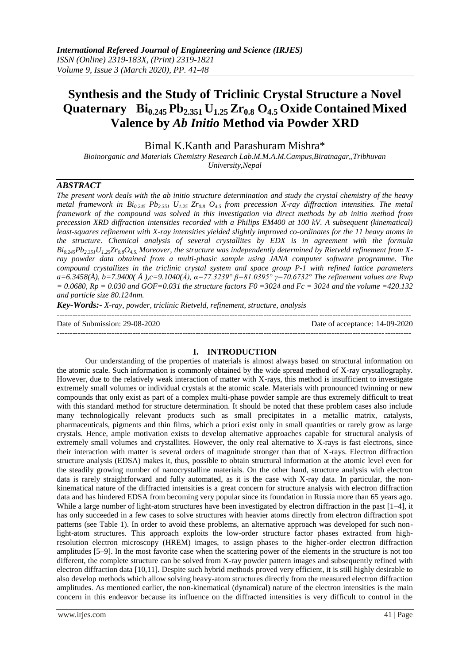# **Synthesis and the Study of Triclinic Crystal Structure a Novel Quaternary Bi0.245 Pb2.351 U1.25 Zr0.8 O4.5 Oxide Contained Mixed Valence by** *Ab Initio* **Method via Powder XRD**

Bimal K.Kanth and Parashuram Mishra\*

*Bioinorganic and Materials Chemistry Research Lab.M.M.A.M.Campus,Biratnagar,,Tribhuvan University,Nepal*

# *ABSTRACT*

*The present work deals with the ab initio structure determination and study the crystal chemistry of the heavy metal framework in Bi0.245 Pb2.351 U1.25 Zr0.8 O4.5 from precession X-ray diffraction intensities. The metal framework of the compound was solved in this investigation via direct methods by ab initio method from precession XRD diffraction intensities recorded with a Philips EM400 at 100 kV. A subsequent (kinematical) least-squares refinement with X-ray intensities yielded slightly improved co-ordinates for the 11 heavy atoms in the structure. Chemical analysis of several crystallites by EDX is in agreement with the formula*  $Bi_{0.245}Pb_{2.35}U_{1.25}Zr_{0.8}O_4$ , Moreover, the structure was independently determined by Rietveld refinement from X*ray powder data obtained from a multi-phasic sample using JANA computer software programme. The compound crystallizes in the triclinic crystal system and space group P-1 with refined lattice parameters a=6.3458(Å), b=7.9400( Å ),c=9.1040(Å), α=77.3239° β=81.0395° γ=70.6732° The refinement values are Rwp = 0.0680, Rp = 0.030 and GOF=0.031 the structure factors F0 =3024 and Fc = 3024 and the volume =420.132 and particle size 80.124nm.*

*Key-Words:- X-ray, powder, triclinic Rietveld, refinement, structure, analysis* ---------------------------------------------------------------------------------------------------------------------------------------

Date of Submission: 29-08-2020 Date of acceptance: 14-09-2020

---------------------------------------------------------------------------------------------------------------------------------------

### **I. INTRODUCTION**

Our understanding of the properties of materials is almost always based on structural information on the atomic scale. Such information is commonly obtained by the wide spread method of X-ray crystallography. However, due to the relatively weak interaction of matter with X-rays, this method is insufficient to investigate extremely small volumes or individual crystals at the atomic scale. Materials with pronounced twinning or new compounds that only exist as part of a complex multi-phase powder sample are thus extremely difficult to treat with this standard method for structure determination. It should be noted that these problem cases also include many technologically relevant products such as small precipitates in a metallic matrix, catalysts, pharmaceuticals, pigments and thin films, which a priori exist only in small quantities or rarely grow as large crystals. Hence, ample motivation exists to develop alternative approaches capable for structural analysis of extremely small volumes and crystallites. However, the only real alternative to X-rays is fast electrons, since their interaction with matter is several orders of magnitude stronger than that of X-rays. Electron diffraction structure analysis (EDSA) makes it, thus, possible to obtain structural information at the atomic level even for the steadily growing number of nanocrystalline materials. On the other hand, structure analysis with electron data is rarely straightforward and fully automated, as it is the case with X-ray data. In particular, the nonkinematical nature of the diffracted intensities is a great concern for structure analysis with electron diffraction data and has hindered EDSA from becoming very popular since its foundation in Russia more than 65 years ago. While a large number of light-atom structures have been investigated by electron diffraction in the past [1–4], it has only succeeded in a few cases to solve structures with heavier atoms directly from electron diffraction spot patterns (see Table 1). In order to avoid these problems, an alternative approach was developed for such nonlight-atom structures. This approach exploits the low-order structure factor phases extracted from highresolution electron microscopy (HREM) images, to assign phases to the higher-order electron diffraction amplitudes [5–9]. In the most favorite case when the scattering power of the elements in the structure is not too different, the complete structure can be solved from X-ray powder pattern images and subsequently refined with electron diffraction data [10,11]. Despite such hybrid methods proved very efficient, it is still highly desirable to also develop methods which allow solving heavy-atom structures directly from the measured electron diffraction amplitudes. As mentioned earlier, the non-kinematical (dynamical) nature of the electron intensities is the main concern in this endeavor because its influence on the diffracted intensities is very difficult to control in the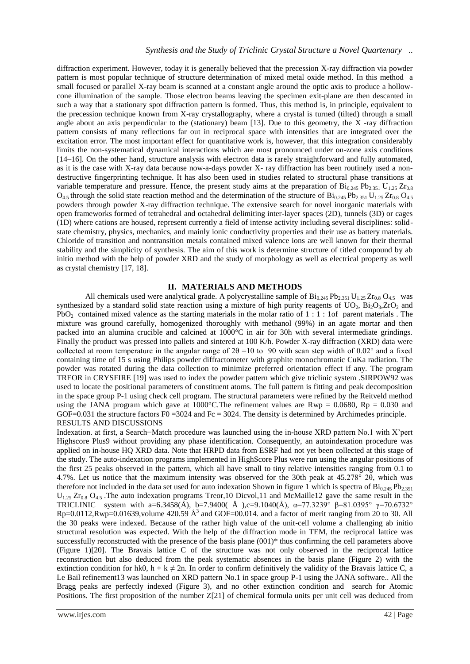diffraction experiment. However, today it is generally believed that the precession X-ray diffraction via powder pattern is most popular technique of structure determination of mixed metal oxide method. In this method a small focused or parallel X-ray beam is scanned at a constant angle around the optic axis to produce a hollowcone illumination of the sample. Those electron beams leaving the specimen exit-plane are then descanted in such a way that a stationary spot diffraction pattern is formed. Thus, this method is, in principle, equivalent to the precession technique known from X-ray crystallography, where a crystal is turned (tilted) through a small angle about an axis perpendicular to the (stationary) beam [13]. Due to this geometry, the X -ray diffraction pattern consists of many reflections far out in reciprocal space with intensities that are integrated over the excitation error. The most important effect for quantitative work is, however, that this integration considerably limits the non-systematical dynamical interactions which are most pronounced under on-zone axis conditions [14–16]. On the other hand, structure analysis with electron data is rarely straightforward and fully automated, as it is the case with X-ray data because now-a-days powder X- ray diffraction has been routinely used a nondestructive fingerprinting technique. It has also been used in studies related to structural phase transitions at variable temperature and pressure. Hence, the present study aims at the preparation of  $\rm{Bi_{0.245} Pb_{2.351} U_{1.25} Zr_{0.8}}$  $O_{4,5}$  through the solid state reaction method and the determination of the structure of  $B_{10,245}P_{2,351}U_{1,25}Zr_{0.8}O_{4,5}$ powders through powder X-ray diffraction technique. The extensive search for novel inorganic materials with open frameworks formed of tetrahedral and octahedral delimiting inter-layer spaces (2D), tunnels (3D) or cages (1D) where cations are housed, represent currently a field of intense activity including several disciplines: solidstate chemistry, physics, mechanics, and mainly ionic conductivity properties and their use as battery materials. Chloride of transition and nontransition metals contained mixed valence ions are well known for their thermal stability and the simplicity of synthesis. The aim of this work is determine structure of titled compound by ab initio method with the help of powder XRD and the study of morphology as well as electrical property as well as crystal chemistry [17, 18].

#### **II. MATERIALS AND METHODS**

All chemicals used were analytical grade. A polycrystalline sample of  $Bi_{0.245}Pb_{2.351}U_{1.25}Zr_{0.8}O_{4.5}$  was synthesized by a standard solid state reaction using a mixture of high purity reagents of  $UO_2$ ,  $Bi_2O_3$ ,  $ZrO_2$  and PbO<sub>2</sub> contained mixed valence as the starting materials in the molar ratio of  $1 : 1 : 1$  of parent materials. The mixture was ground carefully, homogenized thoroughly with methanol (99%) in an agate mortar and then packed into an alumina crucible and calcined at 1000°C in air for 30h with several intermediate grindings. Finally the product was pressed into pallets and sintered at 100 K/h. Powder X-ray diffraction (XRD) data were collected at room temperature in the angular range of  $2\theta = 10$  to 90 with scan step width of 0.02° and a fixed containing time of 15 s using Philips powder diffractometer with graphite monochromatic CuKa radiation. The powder was rotated during the data collection to minimize preferred orientation effect if any. The program TREOR in CRYSFIRE [19] was used to index the powder pattern which give triclinic system .SIRPOW92 was used to locate the positional parameters of constituent atoms. The full pattern is fitting and peak decomposition in the space group P-1 using check cell program. The structural parameters were refined by the Reitveld method using the JANA program which gave at  $1000^{\circ}$ C. The refinement values are Rwp = 0.0680, Rp = 0.030 and GOF=0.031 the structure factors F0 = 3024 and Fc = 3024. The density is determined by Archimedes principle. RESULTS AND DISCUSSIONS

Indexation. at first, a Search−Match procedure was launched using the in-house XRD pattern No.1 with X'pert Highscore Plus9 without providing any phase identification. Consequently, an autoindexation procedure was applied on in-house HQ XRD data. Note that HRPD data from ESRF had not yet been collected at this stage of the study. The auto-indexation programs implemented in HighScore Plus were run using the angular positions of the first 25 peaks observed in the pattern, which all have small to tiny relative intensities ranging from 0.1 to 4.7%. Let us notice that the maximum intensity was observed for the 30th peak at 45.278° 2θ, which was therefore not included in the data set used for auto indexation Shown in figure 1 which is spectra of  $Bi_{0.245}Pb_{2.351}$  $U_{1.25} Zr_{0.8} O_{4.5}$ . The auto indexation programs Treor,10 Dicvol,11 and McMaille12 gave the same result in the TRICLINIC system with a=6.3458(Å), b=7.9400(Å),c=9.1040(Å),  $\alpha$ =77.3239° β=81.0395° γ=70.6732°  $Rp=0.0112, Rwp=0.01639,$ volume  $420.59 \text{ Å}^3$  and GOF=00.014. and a factor of merit ranging from 20 to 30. All the 30 peaks were indexed. Because of the rather high value of the unit-cell volume a challenging ab initio structural resolution was expected. With the help of the diffraction mode in TEM, the reciprocal lattice was successfully reconstructed with the presence of the basis plane (001)\* thus confirming the cell parameters above (Figure 1)[20]. The Bravais lattice C of the structure was not only observed in the reciprocal lattice reconstruction but also deduced from the peak systematic absences in the basis plane (Figure 2) with the extinction condition for hk0,  $h + k \neq 2n$ . In order to confirm definitively the validity of the Bravais lattice C, a Le Bail refinement13 was launched on XRD pattern No.1 in space group P-1 using the JANA software.. All the Bragg peaks are perfectly indexed (Figure 3), and no other extinction condition and search for Atomic Positions. The first proposition of the number Z[21] of chemical formula units per unit cell was deduced from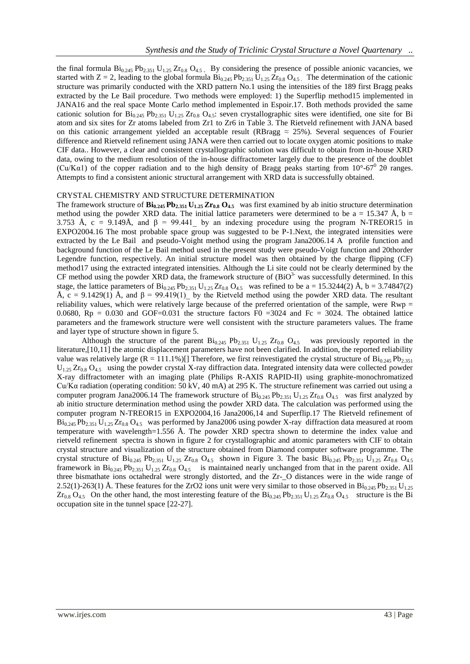the final formula  $Bi_{0.245}$  Pb<sub>2.351</sub> U<sub>1.25</sub> Zr<sub>0.8</sub> O<sub>4.5</sub>. By considering the presence of possible anionic vacancies, we started with  $Z = 2$ , leading to the global formula  $Bi_{0.245}Pb_{2.351}U_{1.25}Zr_{0.8}O_{4.5}$ . The determination of the cationic structure was primarily conducted with the XRD pattern No.1 using the intensities of the 189 first Bragg peaks extracted by the Le Bail procedure. Two methods were employed: 1) the Superflip method15 implemented in JANA16 and the real space Monte Carlo method implemented in Espoir.17. Both methods provided the same cationic solution for  $Bi_{0.245}$   $Pb_{2.351}$   $U_{1.25}$   $Zr_{0.8}$   $Q_{4.5}$ : seven crystallographic sites were identified, one site for Bi atom and six sites for Zr atoms labeled from Zr1 to Zr6 in Table 3. The Rietveld refinement with JANA based on this cationic arrangement yielded an acceptable result (RBragg  $\approx$  25%). Several sequences of Fourier difference and Rietveld refinement using JANA were then carried out to locate oxygen atomic positions to make CIF data.. However, a clear and consistent crystallographic solution was difficult to obtain from in-house XRD data, owing to the medium resolution of the in-house diffractometer largely due to the presence of the doublet (Cu/K $\alpha$ 1) of the copper radiation and to the high density of Bragg peaks starting from 10°-67° 20 ranges. Attempts to find a consistent anionic structural arrangement with XRD data is successfully obtained.

#### CRYSTAL CHEMISTRY AND STRUCTURE DETERMINATION

The framework structure of  $\mathbf{Bi}_{0.245}$   $\mathbf{Pb}_{2.351}$   $\mathbf{U}_{1.25}$   $\mathbf{Zr}_{0.8}$   $\mathbf{O}_{4.5}$  was first examined by ab initio structure determination method using the powder XRD data. The initial lattice parameters were determined to be a = 15.347 Å, b = 3.753 Å, c = 9.149Å, and  $\beta$  = 99.441 by an indexing procedure using the program N-TREOR15 in EXPO2004.16 The most probable space group was suggested to be P-1.Next, the integrated intensities were extracted by the Le Bail and pseudo-Voight method using the program Jana2006.14 A profile function and background function of the Le Bail method used in the present study were pseudo-Voigt function and 20thorder Legendre function, respectively. An initial structure model was then obtained by the charge flipping (CF) method17 using the extracted integrated intensities. Although the Li site could not be clearly determined by the CF method using the powder XRD data, the framework structure of  $(BiO<sup>3-</sup>$  was successfully determined. In this stage, the lattice parameters of  $Bi_{0.245}Pb_{2.351}U_{1.25}Zr_{0.8}O_{4.5}$  was refined to be a = 15.3244(2) Å, b = 3.74847(2) Å, c = 9.1429(1) Å, and  $\beta$  = 99.419(1) by the Rietveld method using the powder XRD data. The resultant reliability values, which were relatively large because of the preferred orientation of the sample, were Rwp = 0.0680,  $Rp = 0.030$  and GOF=0.031 the structure factors F0 =3024 and Fc = 3024. The obtained lattice parameters and the framework structure were well consistent with the structure parameters values. The frame and layer type of structure shown in figure 5.

Although the structure of the parent  $Bi_{0.245}$  Pb<sub>2.351</sub> U<sub>1.25</sub> Zr<sub>0.8</sub> O<sub>4.5</sub> was previously reported in the literature,[10,11] the atomic displacement parameters have not been clarified. In addition, the reported reliability value was relatively large  $(R = 111.1\%)$ [] Therefore, we first reinvestigated the crystal structure of  $Bi_{0.245}Pb_{2.351}$  $U_{1.25} Zr_{0.8} O_{4.5}$  using the powder crystal X-ray diffraction data. Integrated intensity data were collected powder X-ray diffractometer with an imaging plate (Philips R-AXIS RAPID-II) using graphite-monochromatized Cu/Kα radiation (operating condition: 50 kV, 40 mA) at 295 K. The structure refinement was carried out using a computer program Jana2006.14 The framework structure of  $Bi_{0.245}Pb_{2.351}U_{1.25}Zr_{0.8}O_{4.5}$  was first analyzed by ab initio structure determination method using the powder XRD data. The calculation was performed using the computer program N-TREOR15 in EXPO2004,16 Jana2006,14 and Superflip.17 The Rietveld refinement of  $Bi_{0.245}$  Pb<sub>2.351</sub> U<sub>1.25</sub> Zr<sub>0.8</sub> O<sub>4.5</sub> was performed by Jana2006 using powder X-ray diffraction data measured at room temperature with wavelength=1.556 Å. The powder XRD spectra shown to determine the index value and rietveld refinement spectra is shown in figure 2 for crystallographic and atomic parameters with CIF to obtain crystal structure and visualization of the structure obtained from Diamond computer software programme. The crystal structure of  $Bi_{0.245}$  Pb<sub>2.351</sub> U<sub>1.25</sub> Zr<sub>0.8</sub> O<sub>4.5</sub> shown in Figure 3. The basic  $Bi_{0.245}$  Pb<sub>2.351</sub> U<sub>1.25</sub> Zr<sub>0.8</sub> O<sub>4.5</sub> framework in  $Bi_{0.245}$   $Pb_{2.351}$   $U_{1.25}$   $Zr_{0.8}$   $O_{4.5}$  is maintained nearly unchanged from that in the parent oxide. All three bismathate ions octahedral were strongly distorted, and the Zr-\_O distances were in the wide range of 2.52(1)-263(1) Å. These features for the ZrO2 ions unit were very similar to those observed in  $Bi_{0.245}Pb_{2.351}U_{1.25}$  $Zr_{0.8}$  O<sub>4.5</sub> On the other hand, the most interesting feature of the  $Bi_{0.245}$  Pb<sub>2.351</sub> U<sub>1.25</sub>  $Zr_{0.8}$  O<sub>4.5</sub> structure is the Bi occupation site in the tunnel space [22-27].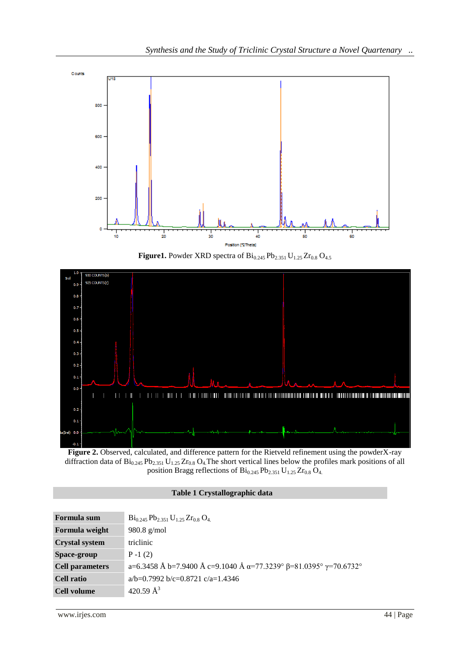

**Figure1.** Powder XRD spectra of  $Bi_{0.245}Pb_{2.351}U_{1.25}Zr_{0.8}O_{4.5}$ 



**Figure 2.** Observed, calculated, and difference pattern for the Rietveld refinement using the powderX-ray diffraction data of  $Bi_{0.245}Pb_{2.351}U_{1.25}Zr_{0.8}O_4$ . The short vertical lines below the profiles mark positions of all position Bragg reflections of  $Bi_{0.245}Pb_{2.351}U_{1.25}Zr_{0.8}O_4$ .

# **Table 1 Crystallographic data**

| $Bi_{0.245}Pb_{2.351}U_{1.25}Zr_{0.8}O_4$                                                |
|------------------------------------------------------------------------------------------|
| $980.8$ g/mol                                                                            |
| triclinic                                                                                |
| $P - 1(2)$                                                                               |
| a=6.3458 Å b=7.9400 Å c=9.1040 Å $\alpha$ =77.3239° $\beta$ =81.0395° $\gamma$ =70.6732° |
| $a/b=0.7992 b/c=0.8721 c/a=1.4346$                                                       |
| 420.59 $\AA^3$                                                                           |
|                                                                                          |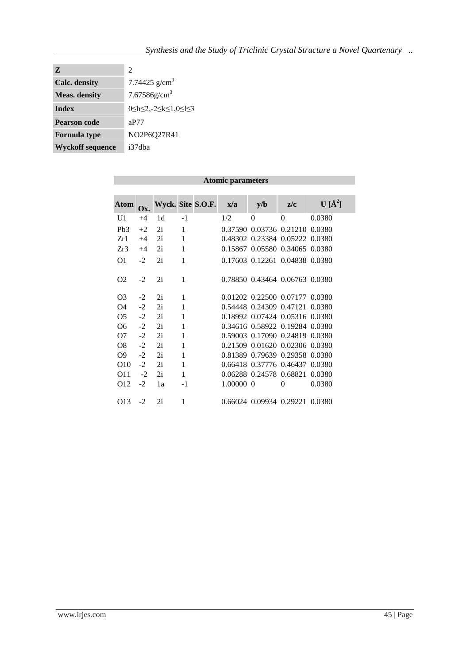| Z                       | $\mathcal{D}_{\mathcal{L}}$                    |
|-------------------------|------------------------------------------------|
| <b>Calc.</b> density    | 7.74425 $g/cm3$                                |
| <b>Meas.</b> density    | $7.67586$ g/cm <sup>3</sup>                    |
| Index                   | $0 \le h \le 2, -2 \le k \le 1, 0 \le l \le 3$ |
| <b>Pearson code</b>     | aP77                                           |
| <b>Formula type</b>     | NO2P6Q27R41                                    |
| <b>Wyckoff sequence</b> | i37dba                                         |

| <b>Atomic parameters</b> |      |    |              |                   |           |                                |          |            |
|--------------------------|------|----|--------------|-------------------|-----------|--------------------------------|----------|------------|
|                          |      |    |              |                   |           |                                |          |            |
| Atom                     | Ox.  |    |              | Wyck. Site S.O.F. | x/a       | y/b                            | z/c      | $U[\AA^2]$ |
| U1                       | $+4$ | 1d | $-1$         |                   | 1/2       | $\Omega$                       | $\Omega$ | 0.0380     |
| Pb3                      | $+2$ | 2i | 1            |                   |           | 0.37590 0.03736 0.21210 0.0380 |          |            |
| Zr1                      | $+4$ | 2i | $\mathbf{1}$ |                   |           | 0.48302 0.23384 0.05222 0.0380 |          |            |
| Zr3                      | $+4$ | 2i | 1            |                   |           | 0.15867 0.05580 0.34065 0.0380 |          |            |
| O <sub>1</sub>           | $-2$ | 2i | 1            |                   |           | 0.17603 0.12261 0.04838 0.0380 |          |            |
| O <sub>2</sub>           | $-2$ | 2i | 1            |                   |           | 0.78850 0.43464 0.06763 0.0380 |          |            |
| O <sub>3</sub>           | $-2$ | 2i | 1            |                   |           | 0.01202 0.22500 0.07177 0.0380 |          |            |
| O4                       | $-2$ | 2i | 1            |                   |           | 0.54448 0.24309 0.47121        |          | 0.0380     |
| O <sub>5</sub>           | $-2$ | 2i | 1            |                   |           | 0.18992 0.07424 0.05316 0.0380 |          |            |
| O6                       | $-2$ | 2i | 1            |                   |           | 0.34616 0.58922 0.19284 0.0380 |          |            |
| O7                       | $-2$ | 2i | 1            |                   |           | 0.59003 0.17090 0.24819 0.0380 |          |            |
| O8                       | $-2$ | 2i | 1            |                   |           | 0.21509 0.01620 0.02306 0.0380 |          |            |
| O <sub>9</sub>           | $-2$ | 2i | 1            |                   |           | 0.81389 0.79639 0.29358 0.0380 |          |            |
| O <sub>10</sub>          | $-2$ | 2i | $\mathbf 1$  |                   |           | 0.66418 0.37776 0.46437        |          | 0.0380     |
| O11                      | $-2$ | 2i | $\mathbf{1}$ |                   |           | 0.06288 0.24578 0.68821        |          | 0.0380     |
| O <sub>12</sub>          | $-2$ | 1a | $-1$         |                   | 1.00000 0 |                                | 0        | 0.0380     |
| O <sub>13</sub>          | $-2$ | 2i | 1            |                   |           | 0.66024 0.09934 0.29221        |          | 0.0380     |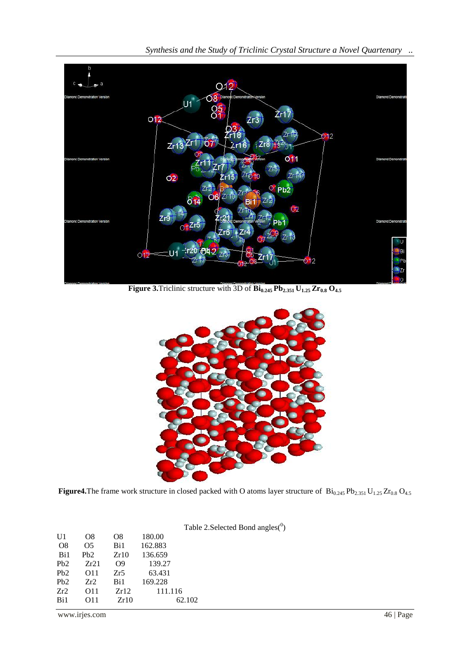

*Synthesis and the Study of Triclinic Crystal Structure a Novel Quartenary ..*

**Figure 3.** Triclinic structure with 3D of  $\mathbf{Bi}_{0.245} \mathbf{Pb}_{2.351} \mathbf{U}_{1.25} \mathbf{Zr}_{0.8} \mathbf{O}_{4.5}$ 



**Figure4.**The frame work structure in closed packed with O atoms layer structure of  $Bi_{0.245}Pb_{2.351}U_{1.25}Zr_{0.8}O_{4.5}$ 

|                  |                 |                |         | Table 2. Selected Bond angles $(0)$ |
|------------------|-----------------|----------------|---------|-------------------------------------|
| U1               | O8              | O8             | 180.00  |                                     |
| O <sub>8</sub>   | Ω5              | Bi1            | 162.883 |                                     |
| Bi1              | Pb2             | Zr10           | 136.659 |                                     |
| Pb2              | Zr21            | O <sub>9</sub> | 139.27  |                                     |
| P <sub>b</sub> 2 | O11             | Zr5            | 63.431  |                                     |
| Pb2              | Zr2             | Bi1            | 169.228 |                                     |
| Zr2              | O <sub>11</sub> | Zr12           | 111.116 |                                     |
| Bi1              | O11             | Zr10           |         | 62.102                              |
|                  |                 |                |         |                                     |

www.irjes.com 46 | Page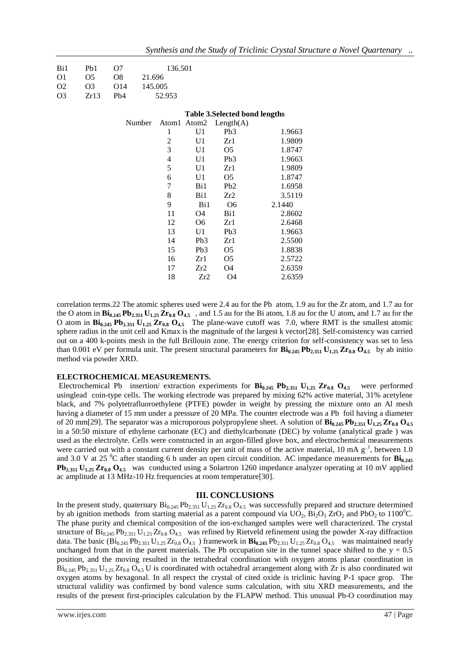| Bi1 | Pb1            | O7              |         | 136.501        |                 |                                       |        |
|-----|----------------|-----------------|---------|----------------|-----------------|---------------------------------------|--------|
| 01  | O <sub>5</sub> | O8              | 21.696  |                |                 |                                       |        |
| O2  | O <sub>3</sub> | O14             | 145.005 |                |                 |                                       |        |
| O3  | Zr13           | Pb <sub>4</sub> |         | 52.953         |                 |                                       |        |
|     |                |                 |         |                |                 |                                       |        |
|     |                |                 |         |                |                 | <b>Table 3. Selected bond lengths</b> |        |
|     |                |                 | Number  | Atom1          |                 | Atom2 $Length(A)$                     |        |
|     |                |                 |         | 1              | U1              | Pb <sub>3</sub>                       | 1.9663 |
|     |                |                 |         | $\overline{2}$ | U1              | Zr1                                   | 1.9809 |
|     |                |                 |         | 3              | U1              | O <sub>5</sub>                        | 1.8747 |
|     |                |                 |         | $\overline{4}$ | U <sub>1</sub>  | Pb <sub>3</sub>                       | 1.9663 |
|     |                |                 |         | 5              | U <sub>1</sub>  | Zr1                                   | 1.9809 |
|     |                |                 |         | 6              | U <sub>1</sub>  | O <sub>5</sub>                        | 1.8747 |
|     |                |                 |         | 7              | Bi1             | Pb <sub>2</sub>                       | 1.6958 |
|     |                |                 |         | 8              | Bi1             | Zr2                                   | 3.5119 |
|     |                |                 |         | 9              | Bi1             | O <sub>6</sub>                        | 2.1440 |
|     |                |                 |         | 11             | O4              | Bi1                                   | 2.8602 |
|     |                |                 |         | 12             | O6              | Zr1                                   | 2.6468 |
|     |                |                 |         | 13             | U1              | Pb <sub>3</sub>                       | 1.9663 |
|     |                |                 |         | 14             | Pb <sub>3</sub> | Zr1                                   | 2.5500 |
|     |                |                 |         | 15             | Pb <sub>3</sub> | O5                                    | 1.8838 |
|     |                |                 |         | 16             | Zr1             | O <sub>5</sub>                        | 2.5722 |
|     |                |                 |         | 17             | Zr2             | O4                                    | 2.6359 |
|     |                |                 |         | 18             | Zr2             | O4                                    | 2.6359 |

correlation terms.22 The atomic spheres used were 2.4 au for the Pb atom, 1.9 au for the Zr atom, and 1.7 au for the O atom in **Bi0.245 Pb2.351 U1.25 Zr0.8 O4.5** , and 1.5 au for the Bi atom, 1.8 au for the U atom, and 1.7 au for the O atom in **Bi0.245 Pb2.351 U1.25 Zr0.8 O4.5** The plane-wave cutoff was 7.0, where RMT is the smallest atomic sphere radius in the unit cell and Kmax is the magnitude of the largest k vector[28]. Self-consistency was carried out on a 400 k-points mesh in the full Brillouin zone. The energy criterion for self-consistency was set to less than 0.001 eV per formula unit. The present structural parameters for  $\mathbf{Bi}_{0.245} \mathbf{Pb}_{2.351} \mathbf{U}_{1.25} \mathbf{Zr}_{0.8} \mathbf{O}_{4.5}$  by ab initio method via powder XRD.

### **ELECTROCHEMICAL MEASUREMENTS.**

Electrochemical Pb insertion/ extraction experiments for **Bi0.245 Pb2.351 U1.25 Zr0.8 O4.5** were performed usinglead coin-type cells. The working electrode was prepared by mixing 62% active material, 31% acetylene black, and 7% polytetrafluoroethylene (PTFE) powder in weight by pressing the mixture onto an Al mesh having a diameter of 15 mm under a pressure of 20 MPa. The counter electrode was a Pb foil having a diameter of 20 mm[29]. The separator was a microporous polypropylene sheet. A solution of **Bi0.245 Pb2.351 U1.25 Zr0.8 O4.5**  in a 50:50 mixture of ethylene carbonate (EC) and diethylcarbonate (DEC) by volume (analytical grade ) was used as the electrolyte. Cells were constructed in an argon-filled glove box, and electrochemical measurements were carried out with a constant current density per unit of mass of the active material, 10 mA  $g^{-1}$ , between 1.0 and 3.0 V at 25  $^{\circ}$ C after standing 6 h under an open circuit condition. AC impedance measurements for **Bi**<sub>0.245</sub> **Pb2.351 U1.25 Zr0.8 O4.5** was conducted using a Solartron 1260 impedance analyzer operating at 10 mV applied ac amplitude at 13 MHz-10 Hz frequencies at room temperature[30].

#### **III. CONCLUSIONS**

In the present study, quaternary  $Bi_{0.245}Pb_{2.351}U_{1.25}Zr_{0.8}O_{4.5}$  was successfully prepared and structure determined by ab ignition methods from starting material as a parent compound via  $UO_2$ ,  $Bi_2O_3$  ZrO<sub>2</sub> and PbO<sub>2</sub> to 1100<sup>o</sup>C. The phase purity and chemical composition of the ion-exchanged samples were well characterized. The crystal structure of  $Bi_{0.245}$   $Pb_{2.351}$   $U_{1.25}$   $Zr_{0.8}$   $Q_{4.5}$  was refined by Rietveld refinement using the powder X-ray diffraction data. The basic  $(Bi_{0.245}Pb_{2.351}U_{1.25}Zr_{0.8}O_{4.5}$  framework in  $Bi_{0.245}Pb_{2.351}U_{1.25}Zr_{0.8}O_{4.5}$  was maintained nearly unchanged from that in the parent materials. The Pb occupation site in the tunnel space shifted to the  $y = 0.5$ position, and the moving resulted in the tetrahedral coordination with oxygen atoms planar coordination in  $Bi_{0.245}$  Pb<sub>2.351</sub> U<sub>1.25</sub> Zr<sub>0.8</sub> O<sub>4.5</sub> U is coordinated with octahedral arrangement along with Zr is also coordinated wit oxygen atoms by hexagonal. In all respect the crystal of cited oxide is triclinic having P-1 space grop. The structural validity was confirmed by bond valence sums calculation, with situ XRD measurements, and the results of the present first-principles calculation by the FLAPW method. This unusual Pb-O coordination may